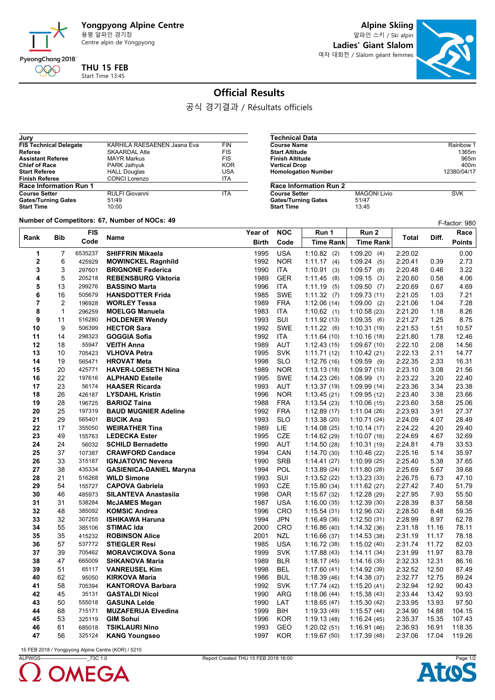

**Alpine Skiing**

알파인 스키 / Ski alpin **Ladies' Giant Slalom** 여자 대회전 / Slalom géant femmes

**Course Name Course Name** Rainbow 1<br> **Course Name Rainbow 1**<br> **Course Name 1365m Start Altitude 1365m<br>
<b>Start Altitude 1365m**<br> **Finish Altitude** 965m **Finish Altitude** 965m<br> **Partical Drop**<br>
965m<br>
960m<br>
960m **Vertical Drop** 400m<br> **Homologation Number** 12380/04/17

**COURSE MAGONI Livio** SVK<br>51/47<br>13:45



## **Official Results**

공식 경기결과 / Résultats officiels

**Technical Data**

**Homologation Number** 

**Gates/Turning Gates Start Time** 

**Race Information Run 2**

| Jury                          |                             |            |
|-------------------------------|-----------------------------|------------|
| <b>FIS Technical Delegate</b> | KARHILA RAESAENEN Jaana Eva | <b>FIN</b> |
| Referee                       | <b>SKAARDAL Atle</b>        | <b>FIS</b> |
| <b>Assistant Referee</b>      | <b>MAYR Markus</b>          | <b>FIS</b> |
| <b>Chief of Race</b>          | PARK Jaihyuk                | <b>KOR</b> |
| <b>Start Referee</b>          | <b>HALL Douglas</b>         | USA        |
| <b>Finish Referee</b>         | <b>CONCI Lorenzo</b>        | <b>ITA</b> |
| <b>Race Information Run 1</b> |                             |            |
| <b>Course Setter</b>          | <b>RULFI Giovanni</b>       | <b>ITA</b> |
| <b>Gates/Turning Gates</b>    | 51/49                       |            |
| <b>Start Time</b>             | 10:00                       |            |

**Number of Competitors: 67, Number of NOCs: 49** 

|                | vulliber of competitors. or, ivulliber of NOCs. 45<br>F-factor: 980 |            |                                |              |            |                  |                  |         |       |               |
|----------------|---------------------------------------------------------------------|------------|--------------------------------|--------------|------------|------------------|------------------|---------|-------|---------------|
| Rank<br>Bib    |                                                                     | <b>FIS</b> | <b>Name</b>                    | Year of      | <b>NOC</b> | Run 1            | Run 2            | Total   | Diff. | Race          |
|                |                                                                     | Code       |                                | <b>Birth</b> | Code       | <b>Time Rank</b> | <b>Time Rank</b> |         |       | <b>Points</b> |
| 1              | $\overline{7}$                                                      | 6535237    | <b>SHIFFRIN Mikaela</b>        | 1995         | <b>USA</b> | $1:10.82$ (2)    | 1:09.20(4)       | 2:20.02 |       | 0.00          |
| $\mathbf{2}$   | 6                                                                   | 425929     | <b>MOWINCKEL Ragnhild</b>      | 1992         | <b>NOR</b> | 1:11.17(4)       | 1:09.24(5)       | 2:20.41 | 0.39  | 2.73          |
| 3              | 3                                                                   | 297601     | <b>BRIGNONE Federica</b>       | 1990         | <b>ITA</b> | 1:10.91(3)       | $1:09.57$ (8)    | 2:20.48 | 0.46  | 3.22          |
| 4              | 5                                                                   | 205218     | <b>REBENSBURG Viktoria</b>     | 1989         | <b>GER</b> | 1.11.45(8)       | 1:09.15(3)       | 2:20.60 | 0.58  | 4.06          |
| 5              | 13                                                                  | 299276     | <b>BASSINO Marta</b>           | 1996         | ITA        | 1:11.19(5)       | 1:09.50(7)       | 2:20.69 | 0.67  | 4.69          |
| 6              | 16                                                                  | 505679     | <b>HANSDOTTER Frida</b>        | 1985         | <b>SWE</b> | 1:11.32(7)       | 1:09.73(11)      | 2:21.05 | 1.03  | 7.21          |
| $\overline{7}$ | 2                                                                   | 196928     | <b>WORLEY Tessa</b>            | 1989         | <b>FRA</b> | 1:12.06(14)      | 1:09.00(2)       | 2:21.06 | 1.04  | 7.28          |
| 8              | $\mathbf{1}$                                                        | 296259     | <b>MOELGG Manuela</b>          | 1983         | ITA        | 1:10.62(1)       | 1:10.58(23)      | 2:21.20 | 1.18  | 8.26          |
| 9              | 11                                                                  | 516280     | <b>HOLDENER Wendy</b>          | 1993         | SUI        | 1:11.92(13)      | 1.09.35(6)       | 2:21.27 | 1.25  | 8.75          |
| 10             | 9                                                                   | 506399     | <b>HECTOR Sara</b>             | 1992         | <b>SWE</b> | 1:11.22(6)       | 1:10.31(19)      | 2:21.53 | 1.51  | 10.57         |
| 11             | 14                                                                  | 298323     | <b>GOGGIA Sofia</b>            | 1992         | <b>ITA</b> | 1:11.64(10)      | 1:10.16(18)      | 2:21.80 | 1.78  | 12.46         |
| 12             | 18                                                                  | 55947      | <b>VEITH Anna</b>              | 1989         | <b>AUT</b> | 1:12.43(15)      | 1:09.67(10)      | 2:22.10 | 2.08  | 14.56         |
| 13             | 10                                                                  | 705423     | <b>VLHOVA Petra</b>            | 1995         | <b>SVK</b> | 1:11.71(12)      | 1:10.42(21)      | 2:22.13 | 2.11  | 14.77         |
| 14             | 19                                                                  | 565471     | <b>HROVAT Meta</b>             | 1998         | <b>SLO</b> | 1:12.76(16)      | 1:09.59(9)       | 2:22.35 | 2.33  | 16.31         |
| 15             | 20                                                                  | 425771     | <b>HAVER-LOESETH Nina</b>      | 1989         | <b>NOR</b> | 1:13.13(18)      | 1:09.97 (13)     | 2:23.10 | 3.08  | 21.56         |
| 16             | 22                                                                  | 197616     | <b>ALPHAND Estelle</b>         | 1995         | <b>SWE</b> | 1:14.23(26)      | 1:08.99(1)       | 2:23.22 | 3.20  | 22.40         |
| 17             | 23                                                                  | 56174      | <b>HAASER Ricarda</b>          | 1993         | AUT        | 1:13.37(19)      | 1:09.99(14)      | 2:23.36 | 3.34  | 23.38         |
| 18             | 26                                                                  | 426187     | <b>LYSDAHL Kristin</b>         | 1996         | <b>NOR</b> | 1:13.45(21)      | 1:09.95(12)      | 2:23.40 | 3.38  | 23.66         |
| 19             | 28                                                                  | 196725     | <b>BARIOZ Taina</b>            | 1988         | <b>FRA</b> | 1:13.54(23)      | 1:10.06(15)      | 2:23.60 | 3.58  | 25.06         |
| 20             | 25                                                                  | 197319     | <b>BAUD MUGNIER Adeline</b>    | 1992         | <b>FRA</b> | 1:12.89(17)      | 1:11.04(26)      | 2:23.93 | 3.91  | 27.37         |
| 21             | 29                                                                  | 565401     | <b>BUCIK Ana</b>               | 1993         | <b>SLO</b> | 1:13.38(20)      | 1:10.71(24)      | 2:24.09 | 4.07  | 28.49         |
| 22             | 17                                                                  | 355050     | <b>WEIRATHER Tina</b>          | 1989         | LIE        | 1:14.08(25)      | 1:10.14(17)      | 2:24.22 | 4.20  | 29.40         |
| 23             | 49                                                                  | 155763     | <b>LEDECKA Ester</b>           | 1995         | <b>CZE</b> | 1:14.62(29)      | 1:10.07(16)      | 2:24.69 | 4.67  | 32.69         |
| 24             | 24                                                                  | 56032      | <b>SCHILD Bernadette</b>       | 1990         | <b>AUT</b> | 1:14.50(28)      | 1:10.31(19)      | 2:24.81 | 4.79  | 33.53         |
| 25             | 37                                                                  | 107387     | <b>CRAWFORD Candace</b>        | 1994         | CAN        | 1:14.70(30)      | 1:10.46(22)      | 2:25.16 | 5.14  | 35.97         |
| 26             | 33                                                                  | 315187     | <b>IGNJATOVIC Nevena</b>       | 1990         | <b>SRB</b> | 1:14.41(27)      | 1:10.99(25)      | 2:25.40 | 5.38  | 37.65         |
| 27             | 38                                                                  | 435334     | <b>GASIENICA-DANIEL Maryna</b> | 1994         | <b>POL</b> | 1:13.89(24)      | 1:11.80(28)      | 2:25.69 | 5.67  | 39.68         |
| 28             | 21                                                                  | 516268     | <b>WILD Simone</b>             | 1993         | SUI        | 1:13.52(22)      | 1:13.23(33)      | 2:26.75 | 6.73  | 47.10         |
| 29             | 54                                                                  | 155727     | <b>CAPOVA Gabriela</b>         | 1993         | CZE        | 1:15.80(34)      | 1:11.62(27)      | 2:27.42 | 7.40  | 51.79         |
| 30             | 46                                                                  | 485973     | <b>SILANTEVA Anastasiia</b>    | 1998         | <b>OAR</b> | 1:15.67(32)      | 1:12.28(29)      | 2:27.95 | 7.93  | 55.50         |
| 31             | 31                                                                  | 538284     | <b>McJAMES Megan</b>           | 1987         | <b>USA</b> | 1:16.00(35)      | 1:12.39(30)      | 2:28.39 | 8.37  | 58.58         |
| 32             | 48                                                                  | 385092     | <b>KOMSIC Andrea</b>           | 1996         | <b>CRO</b> | 1:15.54(31)      | 1:12.96(32)      | 2:28.50 | 8.48  | 59.35         |
| 33             | 32                                                                  | 307255     | <b>ISHIKAWA Haruna</b>         | 1994         | JPN        | 1:16.49(36)      | 1:12.50(31)      | 2:28.99 | 8.97  | 62.78         |
| 34             | 55                                                                  | 385106     | <b>STIMAC Ida</b>              | 2000         | <b>CRO</b> | 1:16.86(40)      | 1:14.32(36)      | 2:31.18 | 11.16 | 78.11         |
| 35             | 35                                                                  | 415232     | <b>ROBINSON Alice</b>          | 2001         | NZL        | 1:16.66(37)      | 1.14.53(38)      | 2:31.19 | 11.17 | 78.18         |
| 36             | 57                                                                  | 537772     | <b>STIEGLER Resi</b>           | 1985         | <b>USA</b> | 1:16.72(38)      | 1:15.02(40)      | 2:31.74 | 11.72 | 82.03         |
| 37             | 39                                                                  | 705462     | <b>MORAVCIKOVA Sona</b>        | 1999         | <b>SVK</b> | 1:17.88(43)      | 1:14.11(34)      | 2:31.99 | 11.97 | 83.78         |
| 38             | 47                                                                  | 665009     | <b>SHKANOVA Maria</b>          | 1989         | <b>BLR</b> | 1:18.17(45)      | 1:14.16(35)      | 2:32.33 | 12.31 | 86.16         |
| 39             | 51                                                                  | 65117      | <b>VANREUSEL Kim</b>           | 1998         | <b>BEL</b> | 1:17.60(41)      | 1:14.92(39)      | 2:32.52 | 12.50 | 87.49         |
| 40             | 62                                                                  | 95050      | <b>KIRKOVA Maria</b>           | 1986         | <b>BUL</b> | 1:18.39(46)      | 1:14.38(37)      | 2:32.77 | 12.75 | 89.24         |
| 41             | 58                                                                  | 705394     | <b>KANTOROVA Barbara</b>       | 1992         | <b>SVK</b> | 1:17.74(42)      | 1:15.20(41)      | 2:32.94 | 12.92 | 90.43         |
| 42             | 45                                                                  | 35131      | <b>GASTALDI Nicol</b>          | 1990         | <b>ARG</b> | 1:18.06(44)      | 1:15.38(43)      | 2:33.44 | 13.42 | 93.93         |
| 43             | 50                                                                  | 555018     | <b>GASUNA Lelde</b>            | 1990         | LAT        | 1:18.65(47)      | 1:15.30(42)      | 2:33.95 | 13.93 | 97.50         |
| 44             | 68                                                                  | 715171     | <b>MUZAFERIJA Elvedina</b>     | 1999         | <b>BIH</b> | 1:19.33(49)      | 1:15.57(44)      | 2:34.90 | 14.88 | 104.15        |
| 45             | 53                                                                  | 325119     | <b>GIM Sohui</b>               | 1996         | <b>KOR</b> | 1:19.13(48)      | 1:16.24(45)      | 2:35.37 | 15.35 | 107.43        |
| 46             | 61                                                                  | 685018     | <b>TSIKLAURI Nino</b>          | 1993         | <b>GEO</b> | 1:20.02(51)      | 1:16.91(46)      | 2:36.93 | 16.91 | 118.35        |
| 47             | 56                                                                  | 325124     | <b>KANG Youngseo</b>           | 1997         | <b>KOR</b> | 1:19.67(50)      | 1:17.39(48)      | 2:37.06 | 17.04 | 119.26        |
|                |                                                                     |            |                                |              |            |                  |                  |         |       |               |

15 FEB 2018 / Yongpyong Alpine Centre (KOR) / 5210